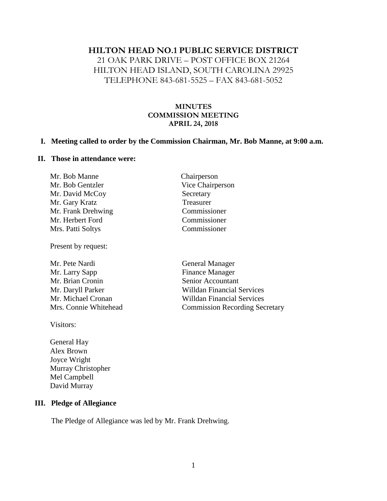#### **HILTON HEAD NO.1 PUBLIC SERVICE DISTRICT**

21 OAK PARK DRIVE – POST OFFICE BOX 21264 HILTON HEAD ISLAND, SOUTH CAROLINA 29925 TELEPHONE 843-681-5525 – FAX 843-681-5052

#### **MINUTES COMMISSION MEETING APRIL 24, 2018**

#### **I. Meeting called to order by the Commission Chairman, Mr. Bob Manne, at 9:00 a.m.**

#### **II. Those in attendance were:**

| Mr. Bob Manne      | Chairperson      |
|--------------------|------------------|
| Mr. Bob Gentzler   | Vice Chairperson |
| Mr. David McCoy    | Secretary        |
| Mr. Gary Kratz     | Treasurer        |
| Mr. Frank Drehwing | Commissioner     |
| Mr. Herbert Ford   | Commissioner     |
| Mrs. Patti Soltys  | Commissioner     |
|                    |                  |

Present by request:

Mr. Pete Nardi General Manager Mr. Larry Sapp Finance Manager Mr. Brian Cronin Senior Accountant Mr. Daryll Parker Willdan Financial Services Mr. Michael Cronan Willdan Financial Services Mrs. Connie Whitehead Commission Recording Secretary

Visitors:

General Hay Alex Brown Joyce Wright Murray Christopher Mel Campbell David Murray

#### **III. Pledge of Allegiance**

The Pledge of Allegiance was led by Mr. Frank Drehwing.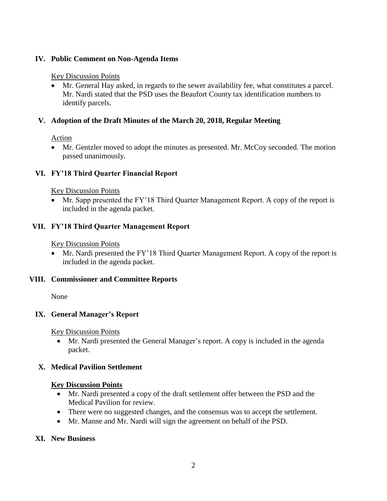## **IV. Public Comment on Non-Agenda Items**

## Key Discussion Points

• Mr. General Hay asked, in regards to the sewer availability fee, what constitutes a parcel. Mr. Nardi stated that the PSD uses the Beaufort County tax identification numbers to identify parcels.

# **V. Adoption of the Draft Minutes of the March 20, 2018, Regular Meeting**

# Action

• Mr. Gentzler moved to adopt the minutes as presented. Mr. McCoy seconded. The motion passed unanimously.

# **VI. FY'18 Third Quarter Financial Report**

## Key Discussion Points

• Mr. Sapp presented the FY'18 Third Quarter Management Report. A copy of the report is included in the agenda packet.

# **VII. FY'18 Third Quarter Management Report**

## Key Discussion Points

• Mr. Nardi presented the FY'18 Third Quarter Management Report. A copy of the report is included in the agenda packet.

## **VIII. Commissioner and Committee Reports**

None

# **IX. General Manager's Report**

Key Discussion Points

• Mr. Nardi presented the General Manager's report. A copy is included in the agenda packet.

# **X. Medical Pavilion Settlement**

## **Key Discussion Points**

- Mr. Nardi presented a copy of the draft settlement offer between the PSD and the Medical Pavilion for review.
- There were no suggested changes, and the consensus was to accept the settlement.
- Mr. Manne and Mr. Nardi will sign the agreement on behalf of the PSD.

## **XI. New Business**